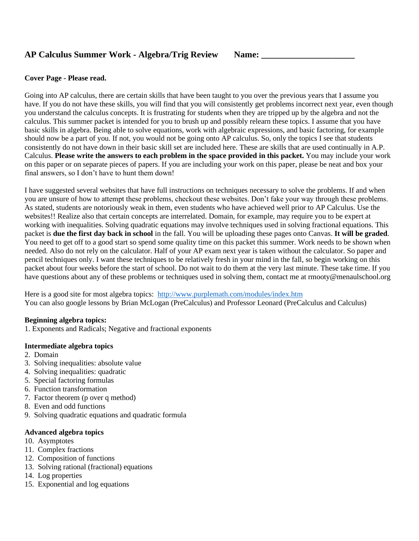#### **AP Calculus Summer Work - Algebra/Trig Review Name: \_\_\_\_\_\_\_\_\_\_\_\_\_\_\_\_\_\_\_\_\_**

#### **Cover Page - Please read.**

Going into AP calculus, there are certain skills that have been taught to you over the previous years that I assume you have. If you do not have these skills, you will find that you will consistently get problems incorrect next year, even though you understand the calculus concepts. It is frustrating for students when they are tripped up by the algebra and not the calculus. This summer packet is intended for you to brush up and possibly relearn these topics. I assume that you have basic skills in algebra. Being able to solve equations, work with algebraic expressions, and basic factoring, for example should now be a part of you. If not, you would not be going onto AP calculus. So, only the topics I see that students consistently do not have down in their basic skill set are included here. These are skills that are used continually in A.P. Calculus. **Please write the answers to each problem in the space provided in this packet.** You may include your work on this paper or on separate pieces of papers. If you are including your work on this paper, please be neat and box your final answers, so I don't have to hunt them down!

I have suggested several websites that have full instructions on techniques necessary to solve the problems. If and when you are unsure of how to attempt these problems, checkout these websites. Don't fake your way through these problems. As stated, students are notoriously weak in them, even students who have achieved well prior to AP Calculus. Use the websites!! Realize also that certain concepts are interrelated. Domain, for example, may require you to be expert at working with inequalities. Solving quadratic equations may involve techniques used in solving fractional equations. This packet is **due the first day back in school** in the fall. You will be uploading these pages onto Canvas. **It will be graded**. You need to get off to a good start so spend some quality time on this packet this summer. Work needs to be shown when needed. Also do not rely on the calculator. Half of your AP exam next year is taken without the calculator. So paper and pencil techniques only. I want these techniques to be relatively fresh in your mind in the fall, so begin working on this packet about four weeks before the start of school. Do not wait to do them at the very last minute. These take time. If you have questions about any of these problems or techniques used in solving them, contact me at rmooty@menaulschool.org

Here is a good site for most algebra topics: <http://www.purplemath.com/modules/index.htm> You can also google lessons by Brian McLogan (PreCalculus) and Professor Leonard (PreCalculus and Calculus)

#### **Beginning algebra topics:**

1. Exponents and Radicals; Negative and fractional exponents

#### **Intermediate algebra topics**

- 2. Domain
- 3. Solving inequalities: absolute value
- 4. Solving inequalities: quadratic
- 5. Special factoring formulas
- 6. Function transformation
- 7. Factor theorem (p over q method)
- 8. Even and odd functions
- 9. Solving quadratic equations and quadratic formula

#### **Advanced algebra topics**

- 10. Asymptotes
- 11. Complex fractions
- 12. Composition of functions
- 13. Solving rational (fractional) equations
- 14. Log properties
- 15. Exponential and log equations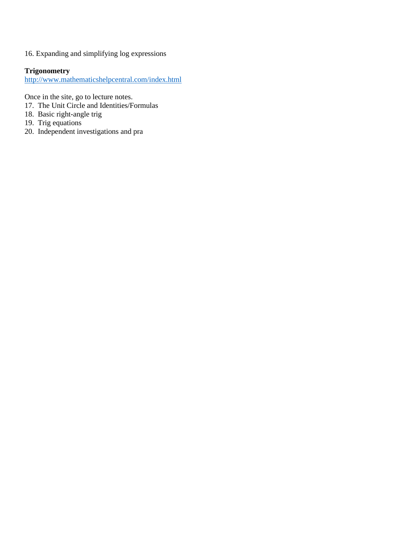16. Expanding and simplifying log expressions

#### **Trigonometry**

<http://www.mathematicshelpcentral.com/index.html>

Once in the site, go to lecture notes.

- 17. The Unit Circle and Identities/Formulas
- 18. Basic right-angle trig
- 19. Trig equations
- 20. Independent investigations and pra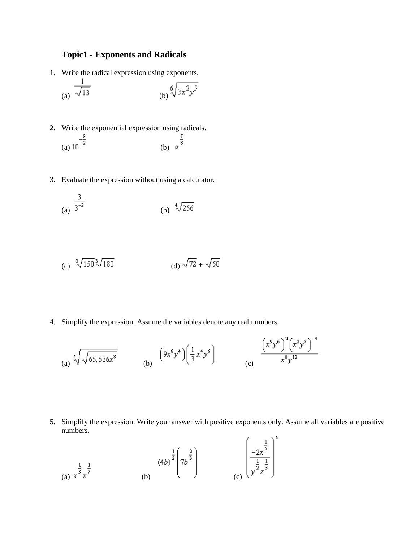#### **Topic1 - Exponents and Radicals**

1. Write the radical expression using exponents.

(a) 
$$
\frac{1}{\sqrt{13}}
$$
 (b)  $\sqrt[6]{3x^2y^5}$ 

- 2. Write the exponential expression using radicals.<br>
(a)  $10^{-\frac{9}{2}}$  (b)  $\alpha^{\frac{7}{8}}$ (a)  $10^{-\frac{9}{2}}$
- 3. Evaluate the expression without using a calculator.

(a) 
$$
\frac{3}{3^{-2}}
$$
 (b)  $\sqrt[4]{256}$ 

(c) 
$$
\sqrt[3]{150} \sqrt[3]{180}
$$
 (d)  $\sqrt{72} + \sqrt{50}$ 

4. Simplify the expression. Assume the variables denote any real numbers.

(a) 
$$
\sqrt[4]{\sqrt{65,536x^8}}
$$
 (b)  $\left(9x^8y^4\right)\left(\frac{1}{3}x^4y^6\right)$  (c)  $\frac{\left(x^9y^6\right)^2\left(x^2y^7\right)^4}{x^8y^{12}}$ 

5. Simplify the expression. Write your answer with positive exponents only. Assume all variables are positive numbers.

(a) 
$$
x^{\frac{1}{3}}x^{\frac{1}{7}}
$$
 (b)  $(4b)^{\frac{1}{2}}\left(7b^{\frac{2}{3}}\right)$  (c)  $\left(\frac{-2x^{\frac{1}{5}}}{y^{\frac{1}{2}}z^{\frac{1}{3}}}\right)^{4}$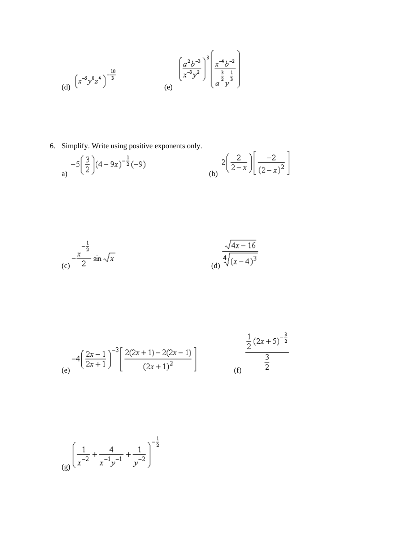(d) 
$$
\left(x^{-5}y^8z^4\right)^{-\frac{10}{3}}
$$
 (e)  $\left(\frac{a^2b^{-3}}{x^{-3}y^2}\right)^3\left(\frac{x^{-4}b^{-2}}{a^{\frac{3}{2}}y^{\frac{1}{3}}}\right)$ 

6. Simplify. Write using positive exponents only.

$$
-5\left(\frac{3}{2}\right)(4-9x)^{-\frac{1}{2}}(-9)
$$
\n  
\n(a)  $2\left(\frac{2}{2-x}\right)\left[\frac{-2}{(2-x)^2}\right]$ 

$$
\frac{x^{-\frac{1}{2}}}{\left(x - 4\right)^2} \sin \sqrt{x}
$$
\n(c)

\n
$$
\frac{x^{-\frac{1}{2}}}{2} \sin \sqrt{x}
$$
\n(d)

\n
$$
\frac{\sqrt{4x - 16}}{\sqrt[4]{(x - 4)^3}}
$$

(e)
$$
-4\left(\frac{2x-1}{2x+1}\right)^{-3}\left[\frac{2(2x+1)-2(2x-1)}{(2x+1)^2}\right]
$$
\n(f)
$$
\frac{\frac{1}{2}(2x+5)^{-\frac{3}{2}}}{\frac{3}{2}}
$$

$$
\int_{(g)} \left( \frac{1}{x^{-2}} + \frac{4}{x^{-1}y^{-1}} + \frac{1}{y^{-2}} \right)^{-\frac{1}{2}}
$$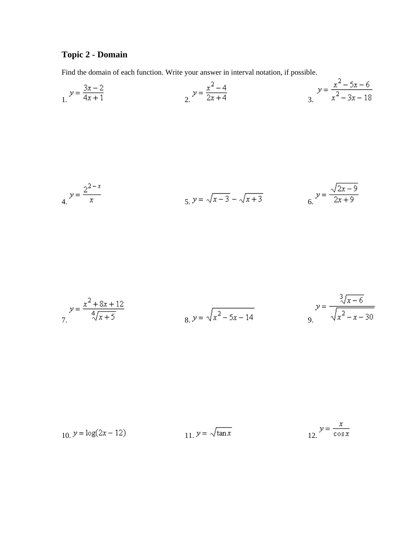## **Topic 2 - Domain**

Find the domain of each function. Write your answer in interval notation, if possible.

$$
y = \frac{3x - 2}{4x + 1}
$$
  

$$
y = \frac{x^2 - 4}{2x + 4}
$$
  

$$
y = \frac{x^2 - 5x - 6}{x^2 - 3x - 18}
$$

$$
y = \frac{2^{2-x}}{x}
$$
  
5.  $y = \sqrt{x-3} - \sqrt{x+3}$   
6.  $y = \frac{\sqrt{2x-9}}{2x+9}$ 

$$
y = \frac{x^2 + 8x + 12}{4\sqrt{x+5}}
$$
  

$$
y = \frac{3\sqrt{x-6}}{\sqrt{x^2 - 5x - 14}}
$$
  

$$
y = \frac{3\sqrt{x-6}}{\sqrt{x^2 - x - 30}}
$$

 $\overline{\phantom{0}}$ 

10. 
$$
y = \log(2x - 12)
$$
  
11.  $y = \sqrt{\tan x}$   
12.  $y = \frac{x}{\cos x}$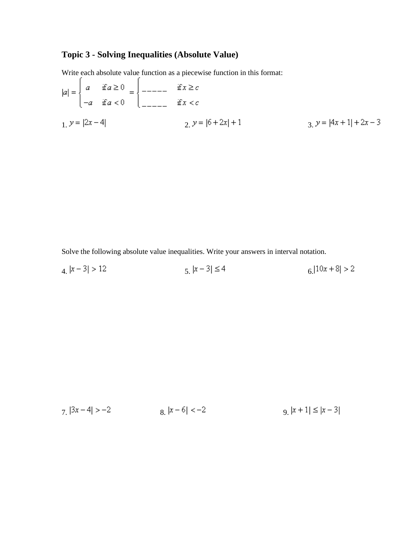## **Topic 3 - Solving Inequalities (Absolute Value)**

Write each absolute value function as a piecewise function in this format:

$$
|a| = \begin{cases} a & \text{if } a \ge 0 \\ -a & \text{if } a < 0 \end{cases} = \begin{cases} \frac{1}{a} - \frac{1}{a} & \text{if } x < c \\ \frac{1}{a} - \frac{1}{a} & \text{if } x < c \end{cases}
$$
\n
$$
2. \ y = |6 + 2x| + 1
$$
\n
$$
3. \ y = |4x + 1| + 2x - 3
$$

Solve the following absolute value inequalities. Write your answers in interval notation.

$$
4 \ |x-3| > 12 \qquad \qquad 5 \ |x-3| \le 4 \qquad \qquad 6 \ |10x+8| > 2
$$

$$
2 |3x - 4| > -2 \qquad \qquad 8 |x - 6| < -2 \qquad \qquad 9 |x + 1| \le |x - 3|
$$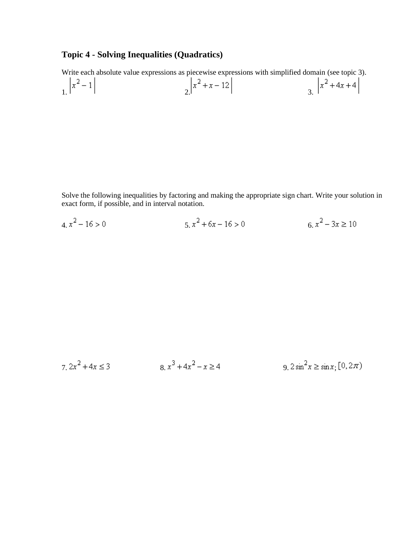### **Topic 4 - Solving Inequalities (Quadratics)**

Write each absolute value expressions as piecewise expressions with simplified domain (see topic 3).

$$
\frac{1}{2x^2 + x - 12}
$$
  $\frac{1}{2x^2 + x - 12}$   $\frac{1}{3x^2 + 4x + 4}$ 

Solve the following inequalities by factoring and making the appropriate sign chart. Write your solution in exact form, if possible, and in interval notation.

$$
4. x2 - 16 > 0
$$
  
5. x<sup>2</sup> + 6x - 16 > 0  
6. x<sup>2</sup> - 3x \ge 10

$$
7.2x2 + 4x \le 3
$$
  
8.  $x3 + 4x2 - x \ge 4$   
9.  $2\sin2 x \ge \sin x$ , [0, 2 $\pi$ ]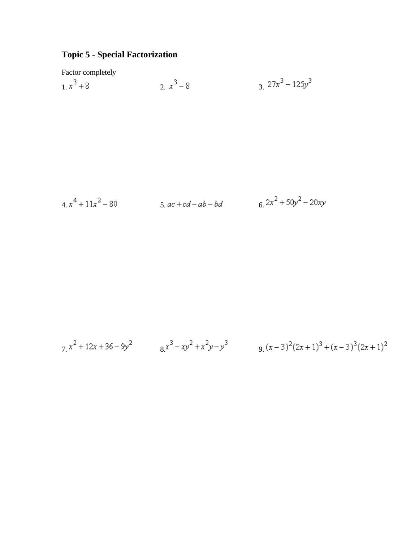## **Topic 5 - Special Factorization**

Factor completely 1.  $x^3 + 8$ <br>2.  $x^3 - 8$ <br>3.  $27x^3 - 125y^3$ 

$$
4. x4 + 11x2 - 80 \t\t 5. ac + cd - ab - bd \t\t 6. 2x2 + 50y2 - 20xy
$$

 $\label{eq:3.16} \hspace*{-5pt}\begin{array}{ll} \displaystyle \gamma \; x^2 + 12x + 36 - 9 y^2 \end{array} \hspace*{1cm} \hspace*{1cm} \displaystyle \frac{8 \cdot x^3 - x y^2 + x^2 y - y^3}{\end{array} \hspace*{1cm} \hspace*{1cm} \displaystyle \frac{9 \ (x-3)^2 (2x+1)^3 + (x-3)^3 (2x+1)^2}{\end{array}$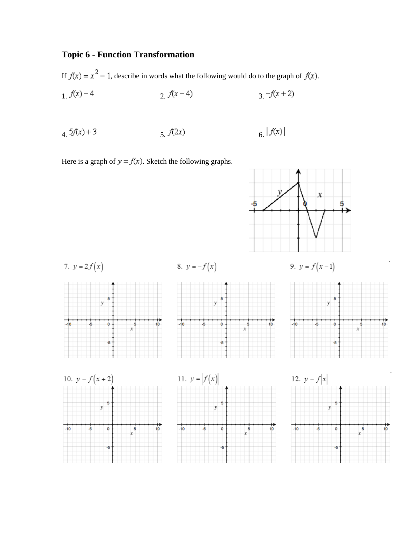## **Topic 6 - Function Transformation**

If  $f(x) = x^2 - 1$ , describe in words what the following would do to the graph of  $f(x)$ . 1.  $f(x) - 4$  2.  $f(x-4)$  3.  $-f(x+2)$ 

$$
4.5f(x) + 3 \t\t 5. f(2x) \t\t 6. |J|
$$

Here is a graph of  $y = f(x)$ . Sketch the following graphs.

 $-10$ 

 $\frac{1}{10}$ 

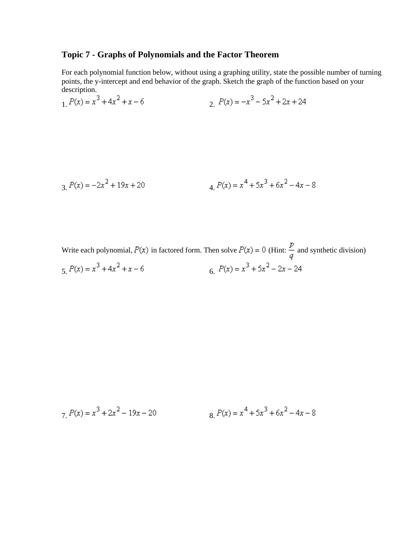#### **Topic 7 - Graphs of Polynomials and the Factor Theorem**

For each polynomial function below, without using a graphing utility, state the possible number of turning points, the y-intercept and end behavior of the graph. Sketch the graph of the function based on your description.

$$
1. P(x) = x3 + 4x2 + x - 6
$$
  
2. P(x) = -x<sup>3</sup> - 5x<sup>2</sup> + 2x + 24

$$
{}_{3.}P(x) = -2x^2 + 19x + 20
$$
\n
$$
{}_{4.}P(x) = x^4 + 5x^3 + 6x^2 - 4x - 8
$$

Write each polynomial,  $P(x)$  in factored form. Then solve  $P(x) = 0$  (Hint:  $\frac{p}{q}$  and synthetic division) 5.  $P(x) = x^3 + 4x^2 + x - 6$ <br>6.  $P(x) = x^3 + 5x^2 - 2x - 24$ 

$$
P(x) = x3 + 2x2 - 19x - 20
$$
  
8.  $P(x) = x4 + 5x3 + 6x2 - 4x - 8$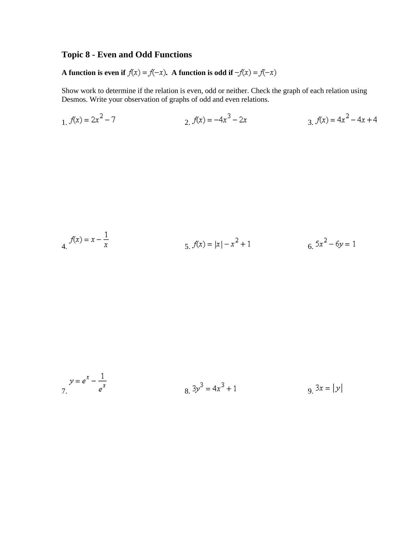### **Topic 8 - Even and Odd Functions**

## A function is even if  $f(x) = f(-x)$ . A function is odd if  $-f(x) = f(-x)$

Show work to determine if the relation is even, odd or neither. Check the graph of each relation using Desmos. Write your observation of graphs of odd and even relations.

$$
1. f(x) = 2x2 - 7
$$
  
2. f(x) = -4x<sup>3</sup> - 2x  
3. f(x) = 4x<sup>2</sup> - 4x + 4

$$
f(x) = x - \frac{1}{x}
$$
  
5.  $f(x) = |x| - x^2 + 1$   
6.  $5x^2 - 6y = 1$ 

$$
y = e^x - \frac{1}{e^x}
$$
  
8.  $3y^3 = 4x^3 + 1$   
9.  $3x = |y|$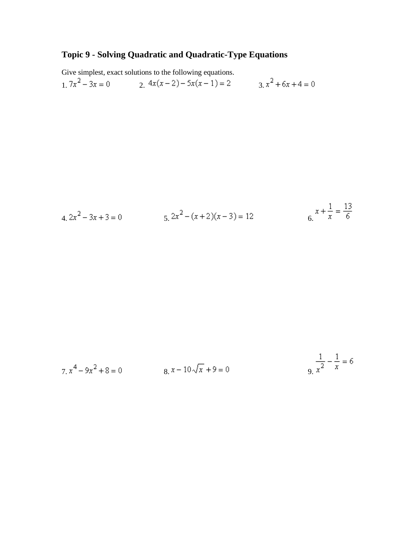## **Topic 9 - Solving Quadratic and Quadratic-Type Equations**

Give simplest, exact solutions to the following equations.

$$
1.7x2 - 3x = 0
$$
  
2.  $4x(x-2) - 5x(x-1) = 2$   
3.  $x2 + 6x + 4 = 0$ 

4. 
$$
2x^2 - 3x + 3 = 0
$$
  
5.  $2x^2 - (x+2)(x-3) = 12$   $5x^2 - 3x + 3 = 0$   $6x + \frac{1}{x} = \frac{13}{6}$ 

$$
7 x4 - 9x2 + 8 = 0
$$
  
8 x - 10 $\sqrt{x}$  + 9 = 0  
9 x<sup>2</sup> -  $\frac{1}{x}$  = 6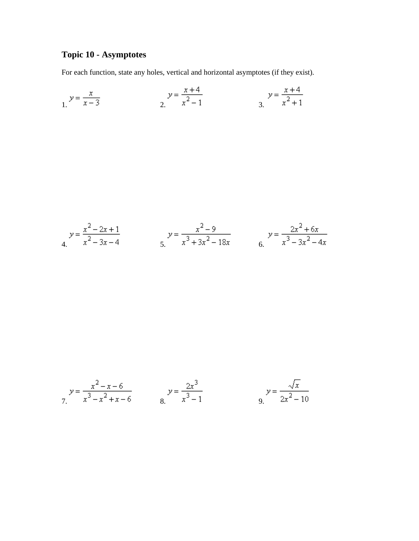## **Topic 10 - Asymptotes**

For each function, state any holes, vertical and horizontal asymptotes (if they exist).

$$
y = \frac{x}{x-3}
$$
  
  $y = \frac{x+4}{x^2-1}$   
  $y = \frac{x+4}{x^2+1}$   
  $y = \frac{x+4}{x^2+1}$ 

$$
y = \frac{x^2 - 2x + 1}{x^2 - 3x - 4}
$$
  

$$
y = \frac{x^2 - 9}{x^3 + 3x^2 - 18x}
$$
  

$$
y = \frac{2x^2 + 6x}{x^3 - 3x^2 - 4x}
$$

$$
y = \frac{x^2 - x - 6}{x^3 - x^2 + x - 6}
$$
 
$$
y = \frac{2x^3}{x^3 - 1}
$$
 
$$
y = \frac{\sqrt{x}}{2x^2 - 10}
$$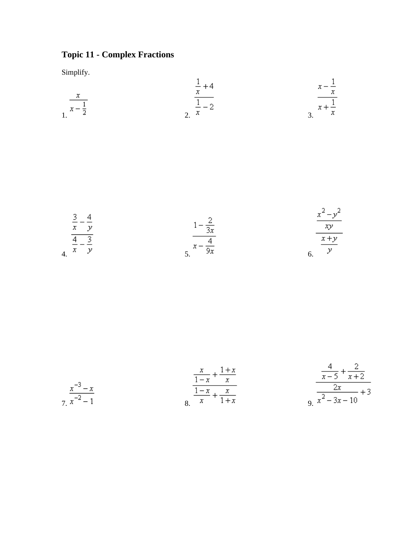# **Topic 11 - Complex Fractions**

Simplify.

$$
\frac{x}{x-\frac{1}{2}}
$$
\n
$$
\frac{x}{x-\frac{1}{2}}
$$
\n
$$
\frac{1}{x}+4
$$
\n
$$
\frac{x-\frac{1}{x}}{2x+\frac{1}{x}}
$$
\n
$$
\frac{x-\frac{1}{x}}{x+\frac{1}{x}}
$$

$$
\frac{\frac{3}{x} - \frac{4}{y}}{\frac{4}{x} - \frac{3}{y}}
$$
\n
$$
\frac{1 - \frac{2}{3x}}{x - \frac{4}{9x}}
$$
\n
$$
\frac{x^2 - y^2}{xy}}{\frac{x + y}{x}}
$$
\n6.

|                                   | $\frac{x}{1-x} + \frac{1+x}{x}$ | $\frac{4}{x-5} + \frac{2}{x+2}$          |
|-----------------------------------|---------------------------------|------------------------------------------|
| $x^{-3} - x$<br>$\sqrt{x^{-2}-1}$ | $\frac{1-x}{8} + \frac{x}{1+x}$ | $2x \rightarrow 2$<br>$\sqrt{x^2-3x-10}$ |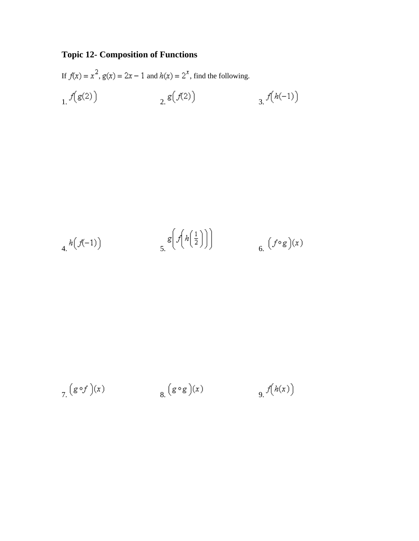# **Topic 12- Composition of Functions**

If 
$$
f(x) = x^2
$$
,  $g(x) = 2x - 1$  and  $h(x) = 2^x$ , find the following.  
\n1.  $f(g(2))$   
\n2.  $g(f(2))$   
\n3.  $f(h(-1))$ 

$$
{}_{4.}h\left(f(-1)\right) \qquad \qquad {}_{5.}g\left(f\left(h\left(\frac{1}{2}\right)\right)\right) \qquad \qquad {}_{6.}f\circ g\left(x\right)
$$

$$
q^{(g \circ f)(x)} \qquad \qquad q^{(g \circ g)(x)} \qquad \qquad q^{(h(x))}
$$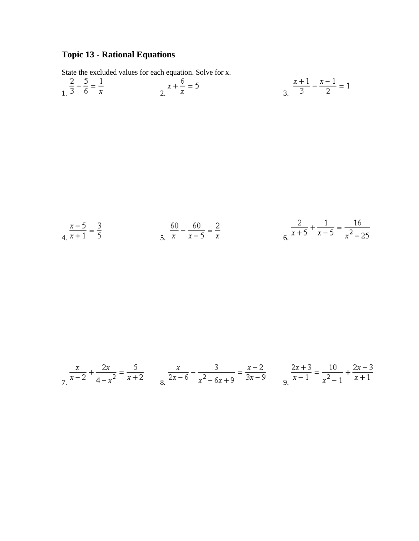# **Topic 13 - Rational Equations**

State the excluded values for each equation. Solve for x.<br>  $2\overline{5}$  1

$$
\frac{2}{1} - \frac{5}{6} = \frac{1}{x}
$$
  $x + \frac{6}{x} = 5$   $\frac{x+1}{3} - \frac{x-1}{2} = 1$ 

$$
\frac{x-5}{4} = \frac{3}{5}
$$
\n
$$
\frac{60}{5} - \frac{60}{x-5} = \frac{2}{x}
$$
\n
$$
\frac{2}{x+5} + \frac{1}{x-5} = \frac{16}{x^2 - 25}
$$

$$
\frac{x}{7} + \frac{2x}{4-x^2} = \frac{5}{x+2}
$$
\n
$$
\frac{x}{8} + \frac{3}{2x-6} - \frac{3}{x^2-6x+9} = \frac{x-2}{3x-9}
$$
\n
$$
\frac{2x+3}{9} = \frac{10}{x^2-1} + \frac{2x-3}{x+1}
$$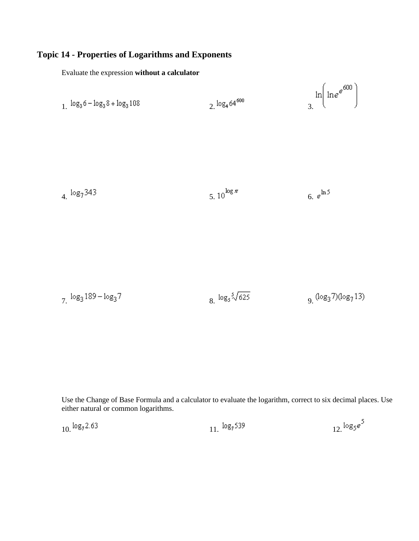### **Topic 14 - Properties of Logarithms and Exponents**

Evaluate the expression **without a calculator**

1. 
$$
\log_3 6 - \log_3 8 + \log_3 108
$$
  
2.  $\log_4 64^{600}$   
3.  $\ln\left(\ln e^{e^{600}}\right)$   
4.  $\log_7 343$   
5.  $10^{\log_7}$   
6.  $e^{\ln 5}$   
7.  $\log_3 189 - \log_3 7$   
8.  $\log_5 \sqrt[5]{625}$   
9.  $(\log_3 7)(\log_7 13)$ 

Use the Change of Base Formula and a calculator to evaluate the logarithm, correct to six decimal places. Use either natural or common logarithms.

 $10. \log_7 2.63$   $11. \log_7 539$   $12. \log_5 e^5$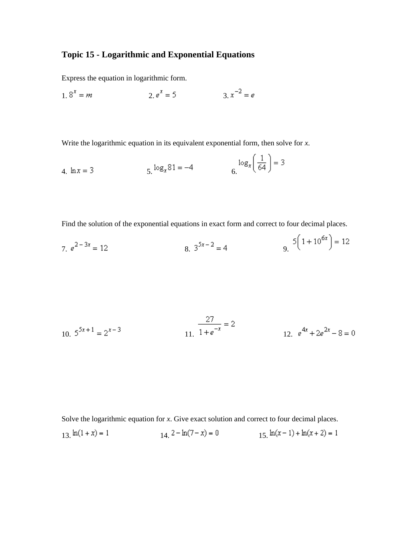#### **Topic 15 - Logarithmic and Exponential Equations**

Express the equation in logarithmic form.

1.  $8^x = m$  2.  $e^x = 5$  3.  $x^{-2} = e$ 

Write the logarithmic equation in its equivalent exponential form, then solve for *x*.

4. 
$$
\ln x = 3
$$
   
5.  $\log_x 81 = -4$    
6.  $\log_x \left(\frac{1}{64}\right) = 3$ 

Find the solution of the exponential equations in exact form and correct to four decimal places.

7. 
$$
e^{2-3x} = 12
$$
 8.  $3^{5x-2} = 4$  9.  $5(1+10^{6x}) = 12$ 

$$
\frac{27}{11.1 + e^{-x}} = 2
$$
  
10.  $5^{5x+1} = 2^{x-3}$   
11.  $1 + e^{-x} = 2$   
12.  $e^{4x} + 2e^{2x} - 8 = 0$ 

Solve the logarithmic equation for *x*. Give exact solution and correct to four decimal places.  $\sim$   $\sim$   $\sim$   $\sim$   $\sim$  $\mathbf{a}$  and  $\mathbf{a}$  $\sim$  1.60  $\times$ 

13. 
$$
\ln(1+x) = 1
$$
  
14.  $2 - \ln(7-x) = 0$   
15.  $\ln(x-1) + \ln(x+2) = 1$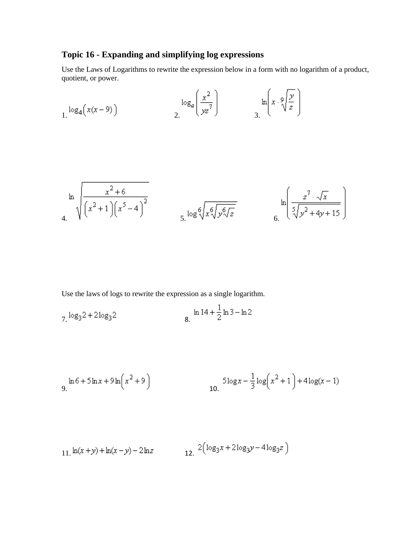### **Topic 16 - Expanding and simplifying log expressions**

Use the Laws of Logarithms to rewrite the expression below in a form with no logarithm of a product, quotient, or power.

$$
\ln\left(x^{2} + \frac{1}{2}\right)
$$
\n
$$
\ln\left(x^{2} + \frac{1}{2}\right)
$$
\n
$$
\ln\left(x^{2} + \frac{1}{2}\right)
$$
\n
$$
\ln\left(x^{2} + \frac{1}{2}\right)
$$
\n
$$
\ln\left(x^{2} + \frac{1}{2}\right)
$$
\n
$$
\ln\left(x^{2} + \frac{1}{2}\right)
$$
\n
$$
\ln\left(x^{2} + \frac{1}{2}\right)
$$
\n
$$
\ln\left(x^{2} + \frac{1}{2}\right)
$$
\n
$$
\ln\left(x^{2} + \frac{1}{2}\right)
$$
\n
$$
\ln\left(x^{2} + \frac{1}{2}\right)
$$
\n
$$
\ln\left(x^{2} + \frac{1}{2}\right)
$$
\n
$$
\ln\left(x^{2} + \frac{1}{2}\right)
$$
\n
$$
\ln\left(x^{2} + \frac{1}{2}\right)
$$
\n
$$
\ln\left(x^{2} + \frac{1}{2}\right)
$$
\n
$$
\ln\left(x^{2} + \frac{1}{2}\right)
$$
\n
$$
\ln\left(x^{2} + \frac{1}{2}\right)
$$
\n
$$
\ln\left(x^{2} + \frac{1}{2}\right)
$$
\n
$$
\ln\left(x^{2} + \frac{1}{2}\right)
$$
\n
$$
\ln\left(x^{2} + \frac{1}{2}\right)
$$
\n
$$
\ln\left(x^{2} + \frac{1}{2}\right)
$$
\n
$$
\ln\left(x^{2} + \frac{1}{2}\right)
$$
\n
$$
\ln\left(x^{2} + \frac{1}{2}\right)
$$
\n
$$
\ln\left(x^{2} + \frac{1}{2}\right)
$$
\n
$$
\ln\left(x^{2} + \frac{1}{2}\right)
$$
\n
$$
\ln\left(x^{2} + \frac{1}{2}\right)
$$
\n
$$
\ln\left(x^{2} + \frac{1}{2}\right)
$$
\n
$$
\ln\left(x^{2} + \frac{1}{2}\right)
$$
\n
$$
\ln\left(x^{2} + \frac{1}{2}\right)
$$
\n
$$
\ln\left(x^{2} + \frac{1}{2}\right)
$$
\n
$$
\ln\left(x^{
$$

Use the laws of logs to rewrite the expression as a single logarithm.

$$
7. \log_3 2 + 2\log_3 2
$$
   
  $\ln 14 + \frac{1}{2}\ln 3 - \ln 2$ 

$$
\ln 6 + 5\ln x + 9\ln\left(x^2 + 9\right) \qquad 5\log x - \frac{1}{3}\log\left(x^2 + 1\right) + 4\log(x - 1)
$$

11. 
$$
ln(x+y) + ln(x-y) - 2lnz
$$
  
12.  $2 \left( log_3 x + 2log_3 y - 4log_3 z \right)$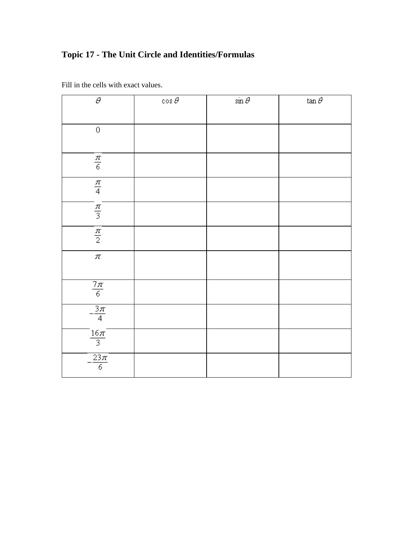# **Topic 17 - The Unit Circle and Identities/Formulas**

| $\theta$          | $cos \theta$ | $\sin\theta$ | $\tan \theta$ |
|-------------------|--------------|--------------|---------------|
|                   |              |              |               |
| 0                 |              |              |               |
| $\frac{\pi}{6}$   |              |              |               |
| $\frac{\pi}{4}$   |              |              |               |
| $\frac{\pi}{3}$   |              |              |               |
| $\frac{\pi}{2}$   |              |              |               |
| $\pi$             |              |              |               |
| $\frac{7\pi}{6}$  |              |              |               |
| $\frac{3\pi}{4}$  |              |              |               |
| $\frac{16\pi}{3}$ |              |              |               |
| $\frac{23\pi}{6}$ |              |              |               |

Fill in the cells with exact values.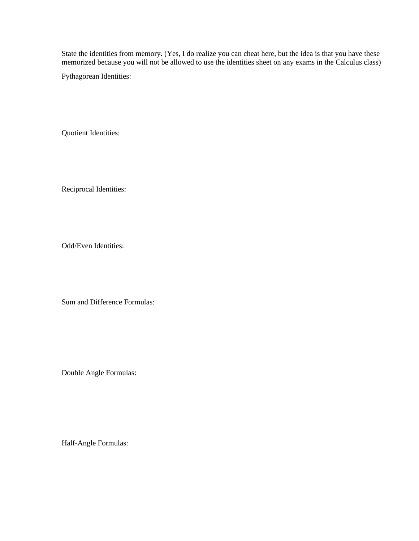State the identities from memory. (Yes, I do realize you can cheat here, but the idea is that you have these memorized because you will not be allowed to use the identities sheet on any exams in the Calculus class)

Pythagorean Identities:

Quotient Identities:

Reciprocal Identities:

Odd/Even Identities:

Sum and Difference Formulas:

Double Angle Formulas:

Half-Angle Formulas: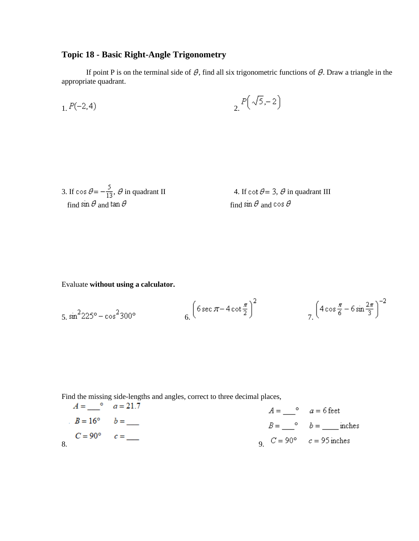#### **Topic 18 - Basic Right-Angle Trigonometry**

If point P is on the terminal side of  $\theta$ , find all six trigonometric functions of  $\theta$ . Draw a triangle in the appropriate quadrant.

$$
{}_{1.}P(-2,4) \qquad \qquad {}_{2.}P\left(\sqrt{5},-2\right)
$$

3. If  $\cos \theta = -\frac{5}{13}$ ,  $\theta$  in quadrant II 4. If  $\cot \theta = 3$ ,  $\theta$  in quadrant III find  $\sin \theta$  and  $\tan \theta$  find  $\sin \theta$  and  $\cos \theta$ 

Evaluate **without using a calculator.**

5. 
$$
\sin^2 225^\circ - \cos^2 300^\circ
$$
 6.  $\left(6 \sec \pi - 4 \cot \frac{\pi}{2}\right)^2$  7.  $\left(4 \cos \frac{\pi}{6} - 6 \sin \frac{2\pi}{3}\right)^{-2}$ 

Find the missing side-lengths and angles, correct to three decimal places,<br> $\frac{4}{5}$ 

$$
A = \begin{matrix} a = 21.7 \\ B = 16^{\circ} \\ B = \begin{matrix} c = 90^{\circ} \\ c = \end{matrix} \end{matrix} \qquad A = \begin{matrix} b = 6 \text{ feet} \\ b = 6 \text{ feet} \\ b = 6 \text{ feet} \\ b = 6 \text{ inches} \end{matrix} \qquad B = \begin{matrix} b = 6 \text{ feet} \\ b = 6 \text{ inches} \\ b = 6 \text{ inches} \end{matrix}
$$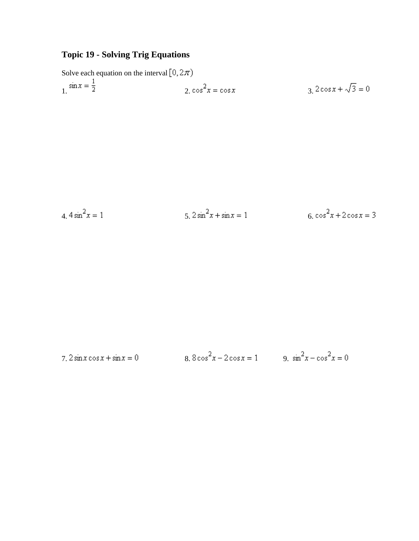# **Topic 19 - Solving Trig Equations**

Solve each equation on the interval 
$$
[0, 2\pi)
$$
  
\n
$$
\sin x = \frac{1}{2}
$$
\n
$$
2 \cos^2 x = \cos x
$$
\n
$$
3 \cdot 2 \cos x + \sqrt{3} = 0
$$

$$
4.4\sin^2 x = 1
$$
 
$$
5.2\sin^2 x + \sin x = 1
$$
 
$$
6. \cos^2 x + 2\cos x = 3
$$

7. 
$$
2\sin x \cos x + \sin x = 0
$$
 8.  $8\cos^2 x - 2\cos x = 1$  9.  $\sin^2 x - \cos^2 x = 0$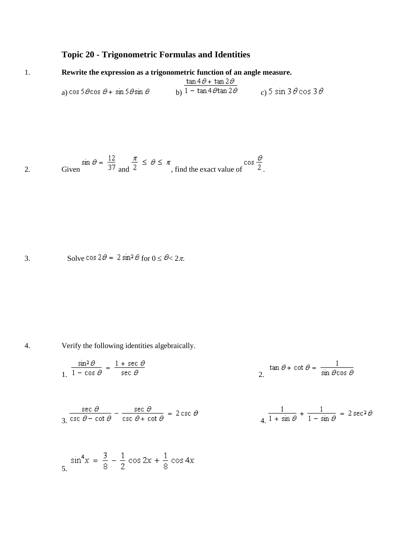## **Topic 20 - Trigonometric Formulas and Identities**

|                                                              | Rewrite the expression as a trigonometric function of an angle measure. |                                    |  |
|--------------------------------------------------------------|-------------------------------------------------------------------------|------------------------------------|--|
|                                                              | $\tan 4\theta + \tan 2\theta$                                           |                                    |  |
| a) cos 5 $\theta$ cos $\theta$ + sin 5 $\theta$ sin $\theta$ | $_{\rm b)}$ 1 - tan 4 $\theta$ tan 2 $\theta$                           | c) 5 sin 3 $\theta$ cos 3 $\theta$ |  |

$$
\sin \theta = \frac{12}{37} \frac{\pi}{\text{ and } 2} \le \theta \le \pi, \text{ find the exact value of } \frac{\theta}{2}.
$$

3. Solve cos  $2\theta = 2 \sin^2 \theta$  for  $0 \le \theta < 2\pi$ .

4. Verify the following identities algebraically.

$$
\frac{\sin^2 \theta}{1 - \cos \theta} = \frac{1 + \sec \theta}{\sec \theta}
$$

$$
\tan \theta + \cot \theta = \frac{1}{\sin \theta \cos \theta}
$$

$$
\frac{\sec \theta}{3. \csc \theta - \cot \theta} - \frac{\sec \theta}{\csc \theta + \cot \theta} = 2 \csc \theta
$$
4.

$$
\frac{1}{4 \cdot 1 + \sin \theta} + \frac{1}{1 - \sin \theta} = 2 \sec^2 \theta
$$

$$
\sin^4 x = \frac{3}{8} - \frac{1}{2} \cos 2x + \frac{1}{8} \cos 4x
$$